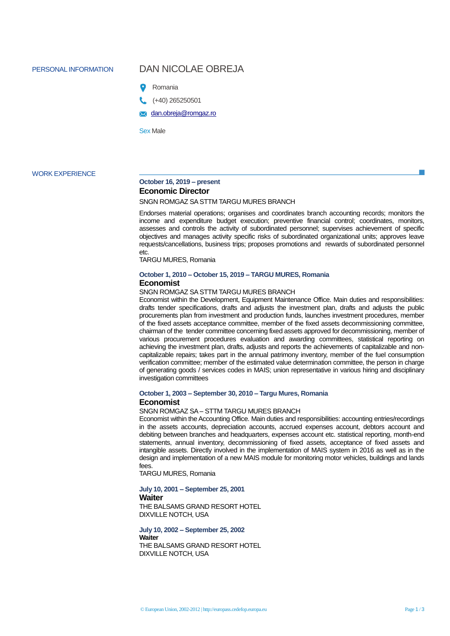# PERSONAL INFORMATION DAN NICOLAE OBREJA



(+40) 265250501

**x** [dan.obreja@romgaz.ro](mailto:dan.obreja@romgaz.ro)

Sex Male

#### WORK EXPERIENCE

## **October 16, 2019 – present Economic Director**

## SNGN ROMGAZ SA STTM TARGU MURES BRANCH

Endorses material operations; organises and coordinates branch accounting records; monitors the income and expenditure budget execution; preventive financial control; coordinates, monitors, assesses and controls the activity of subordinated personnel; supervises achievement of specific objectives and manages activity specific risks of subordinated organizational units; approves leave requests/cancellations, business trips; proposes promotions and rewards of subordinated personnel etc.

TARGU MURES, Romania

## **October 1, 2010 – October 15, 2019 – TARGU MURES, Romania Economist**

SNGN ROMGAZ SA STTM TARGU MURES BRANCH

Economist within the Development, Equipment Maintenance Office. Main duties and responsibilities: drafts tender specifications, drafts and adjusts the investment plan, drafts and adjusts the public procurements plan from investment and production funds, launches investment procedures, member of the fixed assets acceptance committee, member of the fixed assets decommissioning committee, chairman of the tender committee concerning fixed assets approved for decommissioning, member of various procurement procedures evaluation and awarding committees, statistical reporting on achieving the investment plan, drafts, adjusts and reports the achievements of capitalizable and noncapitalizable repairs; takes part in the annual patrimony inventory, member of the fuel consumption verification committee; member of the estimated value determination committee, the person in charge of generating goods / services codes in MAIS; union representative in various hiring and disciplinary investigation committees

## **October 1, 2003 – September 30, 2010 – Targu Mures, Romania Economist**

SNGN ROMGAZ SA – STTM TARGU MURES BRANCH

Economist within the Accounting Office. Main duties and responsibilities: accounting entries/recordings in the assets accounts, depreciation accounts, accrued expenses account, debtors account and debiting between branches and headquarters, expenses account etc. statistical reporting, month-end statements, annual inventory, decommissioning of fixed assets, acceptance of fixed assets and intangible assets. Directly involved in the implementation of MAIS system in 2016 as well as in the design and implementation of a new MAIS module for monitoring motor vehicles, buildings and lands fees.

TARGU MURES, Romania

## **July 10, 2001 – September 25, 2001**

## **Waiter**

THE BALSAMS GRAND RESORT HOTEL DIXVILLE NOTCH, USA

**July 10, 2002 – September 25, 2002 Waiter** THE BALSAMS GRAND RESORT HOTEL DIXVILLE NOTCH, USA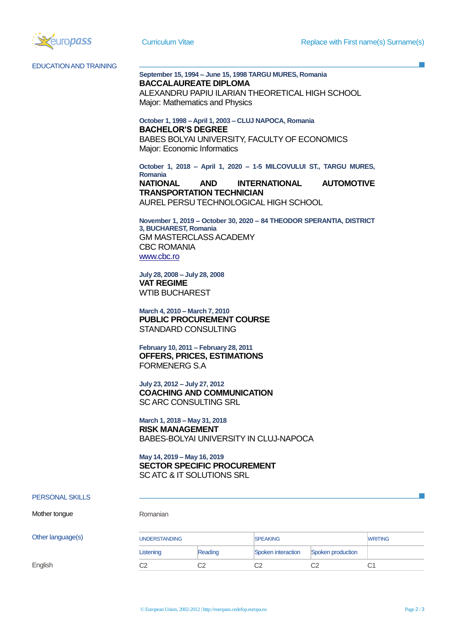

EDUCATION AND TRAINING

## **September 15, 1994 – June 15, 1998 TARGU MURES, Romania BACCALAUREATE DIPLOMA**

ALEXANDRU PAPIU ILARIAN THEORETICAL HIGH SCHOOL Major: Mathematics and Physics

**October 1, 1998 – April 1, 2003 – CLUJ NAPOCA, Romania BACHELOR'S DEGREE** BABES BOLYAI UNIVERSITY, FACULTY OF ECONOMICS Major: Economic Informatics

**October 1, 2018 – April 1, 2020 – 1-5 MILCOVULUI ST., TARGU MURES, Romania NATIONAL AND INTERNATIONAL AUTOMOTIVE** 

**TRANSPORTATION TECHNICIAN** AUREL PERSU TECHNOLOGICAL HIGH SCHOOL

**November 1, 2019 – October 30, 2020 – 84 THEODOR SPERANTIA, DISTRICT 3, BUCHAREST, Romania** GM MASTERCLASS ACADEMY CBC ROMANIA [www.cbc.ro](http://www.cbc.ro/)

**July 28, 2008 – July 28, 2008 VAT REGIME** WTIB BUCHAREST

**March 4, 2010 – March 7, 2010 PUBLIC PROCUREMENT COURSE** STANDARD CONSULTING

**February 10, 2011 – February 28, 2011 OFFERS, PRICES, ESTIMATIONS** FORMENERG S.A

**July 23, 2012 – July 27, 2012 COACHING AND COMMUNICATION** SC ARC CONSULTING SRL

**March 1, 2018 – May 31, 2018 RISK MANAGEMENT** BABES-BOLYAI UNIVERSITY IN CLUJ-NAPOCA

**May 14, 2019 – May 16, 2019 SECTOR SPECIFIC PROCUREMENT** SC ATC & IT SOLUTIONS SRL

## PERSONAL SKILLS

Mother tongue Romanian

| Other language(s) | <b>UNDERSTANDING</b> |         | <b>ISPEAKING</b>   |                   | <b>WRITING</b> |
|-------------------|----------------------|---------|--------------------|-------------------|----------------|
|                   | Listening            | Reading | Spoken interaction | Spoken production |                |
| English           | ∼∼<br>◡∠             | C2      | ∼∼<br>ےب           | ∩ว                |                |